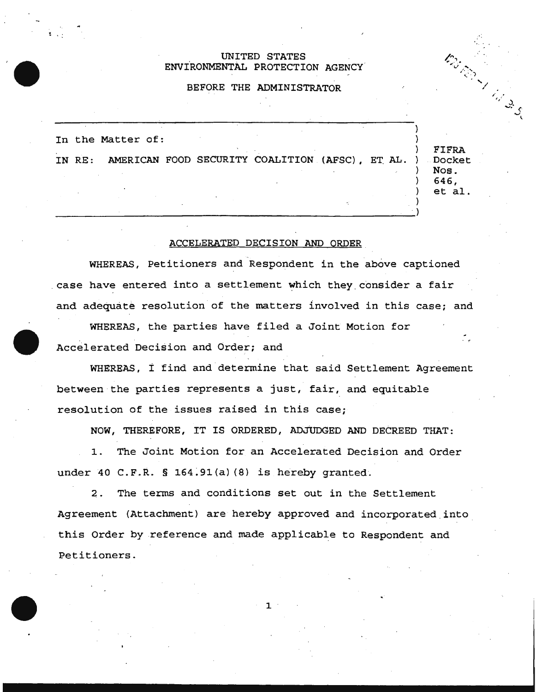## UNITED STATES ENViRONMENTAL PROTECTION AGENCY

## BEFORE THE ADMINISTRATOR

) In the Matter of: ) IN RE: AMERICAN FOOD SECURITY COALITION (AFSC), ET AL. ) ) ) )

FIFRA Docket Nos. 646, et al.

**Service Strategy** 

) )

## ACCELERATED DECISION AND ORDER

WHEREAS, Petitioners and Respondent in the above captioned case have entered into a settlement which they consider a fair and adequate resolution of the matters involved in this case; and

WHEREAS, the parties have filed a Joint Motion for Accelerated Decision and Order; and

WHEREAS, *t* find and determine that said Settlement Agreement between the parties represents a just, fair, and equitable resolution of the issues raised in this case;

NOW, THEREFORE, IT IS ORDERED, ADJUDGED AND DECREED THAT:

1. The Joint Motion for an Accelerated Decision and Order under 40 C.F.R. § 164:91(a) (8) is hereby granted.

2. The terms and conditions set out in the Settlement Agreement (Attachment) are hereby approved and incorporated into this Order by .reference and made applicable to Respondent and Petitioners.

1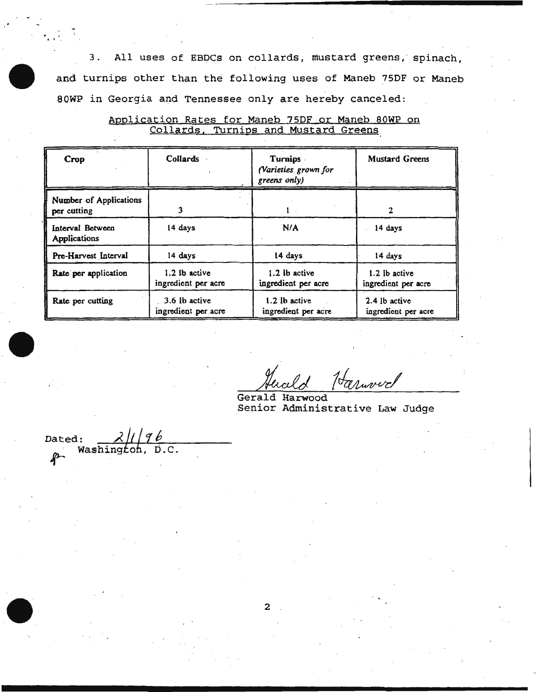3. All uses of EBDCs on collards, mustard greens, spinach, and turnips other than the following uses of Maneb ?SDF or Maneb SOWP in Georgia and Tennessee only are hereby canceled:

| Crop                                    | Collards                             | <b>Turnips</b><br>(Varieties grown for<br>greens only) | <b>Mustard Greens</b>                |
|-----------------------------------------|--------------------------------------|--------------------------------------------------------|--------------------------------------|
| Number of Applications<br>per cutting   | 3                                    |                                                        | 2                                    |
| Interval Between<br><b>Applications</b> | 14 days                              | N/A                                                    | 14 days                              |
| Pre-Harvest Interval                    | 14 days                              | 14 days                                                | 14 days                              |
| Rate per application                    | 1.2 lb active<br>ingredient per acre | 1.2 lb active<br>ingredient per acre                   | 1.2 lb active<br>ingredient per acre |
| Rate per cutting                        | 3.6 lb active<br>ingredient per acre | 1.2 lb active<br>ingredient per acre                   | 2.4 lb active<br>ingredient per acre |

Application Rates for Maneb 75DF or Maneb 80WP on Collards. Turnips and Mustard Greens

Gerald Harwood Senior Administrative Law Judge

Dated:  $\frac{\lambda \parallel \parallel \gamma b}{\text{Washington}}$ . D.C.

r. t . ,